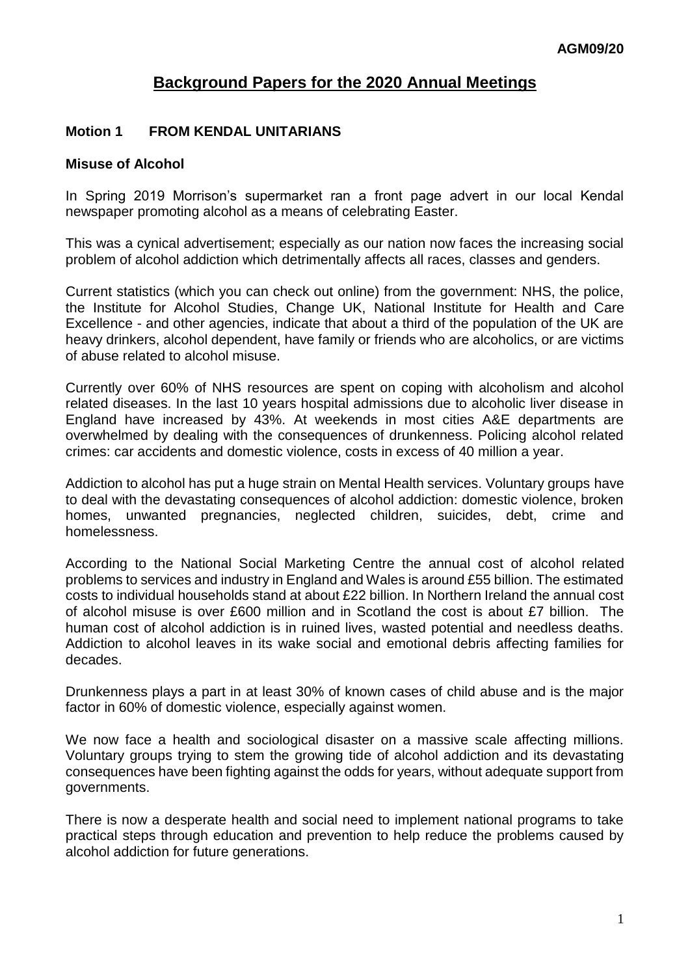# **Background Papers for the 2020 Annual Meetings**

### **Motion 1 FROM KENDAL UNITARIANS**

#### **Misuse of Alcohol**

In Spring 2019 Morrison's supermarket ran a front page advert in our local Kendal newspaper promoting alcohol as a means of celebrating Easter.

This was a cynical advertisement; especially as our nation now faces the increasing social problem of alcohol addiction which detrimentally affects all races, classes and genders.

Current statistics (which you can check out online) from the government: NHS, the police, the Institute for Alcohol Studies, Change UK, National Institute for Health and Care Excellence - and other agencies, indicate that about a third of the population of the UK are heavy drinkers, alcohol dependent, have family or friends who are alcoholics, or are victims of abuse related to alcohol misuse.

Currently over 60% of NHS resources are spent on coping with alcoholism and alcohol related diseases. In the last 10 years hospital admissions due to alcoholic liver disease in England have increased by 43%. At weekends in most cities A&E departments are overwhelmed by dealing with the consequences of drunkenness. Policing alcohol related crimes: car accidents and domestic violence, costs in excess of 40 million a year.

Addiction to alcohol has put a huge strain on Mental Health services. Voluntary groups have to deal with the devastating consequences of alcohol addiction: domestic violence, broken homes, unwanted pregnancies, neglected children, suicides, debt, crime and homelessness.

According to the National Social Marketing Centre the annual cost of alcohol related problems to services and industry in England and Wales is around £55 billion. The estimated costs to individual households stand at about £22 billion. In Northern Ireland the annual cost of alcohol misuse is over £600 million and in Scotland the cost is about £7 billion. The human cost of alcohol addiction is in ruined lives, wasted potential and needless deaths. Addiction to alcohol leaves in its wake social and emotional debris affecting families for decades.

Drunkenness plays a part in at least 30% of known cases of child abuse and is the major factor in 60% of domestic violence, especially against women.

We now face a health and sociological disaster on a massive scale affecting millions. Voluntary groups trying to stem the growing tide of alcohol addiction and its devastating consequences have been fighting against the odds for years, without adequate support from governments.

There is now a desperate health and social need to implement national programs to take practical steps through education and prevention to help reduce the problems caused by alcohol addiction for future generations.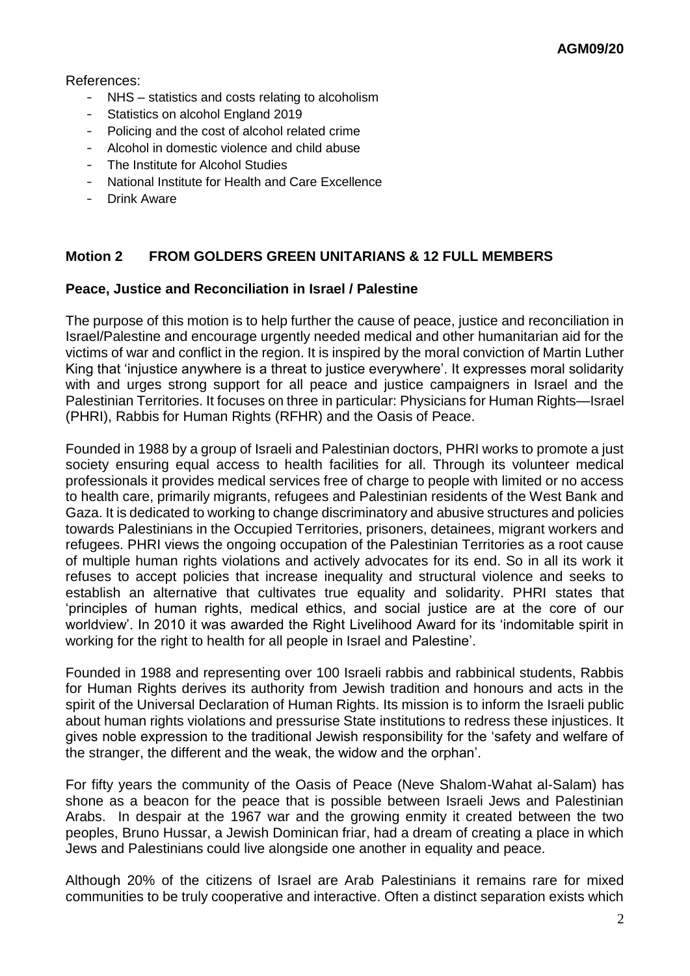#### References:

- NHS statistics and costs relating to alcoholism
- Statistics on alcohol England 2019
- Policing and the cost of alcohol related crime
- Alcohol in domestic violence and child abuse
- The Institute for Alcohol Studies
- National Institute for Health and Care Excellence
- Drink Aware

# **Motion 2 FROM GOLDERS GREEN UNITARIANS & 12 FULL MEMBERS**

### **Peace, Justice and Reconciliation in Israel / Palestine**

The purpose of this motion is to help further the cause of peace, justice and reconciliation in Israel/Palestine and encourage urgently needed medical and other humanitarian aid for the victims of war and conflict in the region. It is inspired by the moral conviction of Martin Luther King that 'injustice anywhere is a threat to justice everywhere'. It expresses moral solidarity with and urges strong support for all peace and justice campaigners in Israel and the Palestinian Territories. It focuses on three in particular: Physicians for Human Rights—Israel (PHRI), Rabbis for Human Rights (RFHR) and the Oasis of Peace.

Founded in 1988 by a group of Israeli and Palestinian doctors, PHRI works to promote a just society ensuring equal access to health facilities for all. Through its volunteer medical professionals it provides medical services free of charge to people with limited or no access to health care, primarily migrants, refugees and Palestinian residents of the West Bank and Gaza. It is dedicated to working to change discriminatory and abusive structures and policies towards Palestinians in the Occupied Territories, prisoners, detainees, migrant workers and refugees. PHRI views the ongoing occupation of the Palestinian Territories as a root cause of multiple human rights violations and actively advocates for its end. So in all its work it refuses to accept policies that increase inequality and structural violence and seeks to establish an alternative that cultivates true equality and solidarity. PHRI states that 'principles of human rights, medical ethics, and social justice are at the core of our worldview'. In 2010 it was awarded the Right Livelihood Award for its 'indomitable spirit in working for the right to health for all people in Israel and Palestine'.

Founded in 1988 and representing over 100 Israeli rabbis and rabbinical students, Rabbis for Human Rights derives its authority from Jewish tradition and honours and acts in the spirit of the Universal Declaration of Human Rights. Its mission is to inform the Israeli public about human rights violations and pressurise State institutions to redress these injustices. It gives noble expression to the traditional Jewish responsibility for the 'safety and welfare of the stranger, the different and the weak, the widow and the orphan'.

For fifty years the community of the Oasis of Peace (Neve Shalom-Wahat al-Salam) has shone as a beacon for the peace that is possible between Israeli Jews and Palestinian Arabs. In despair at the 1967 war and the growing enmity it created between the two peoples, Bruno Hussar, a Jewish Dominican friar, had a dream of creating a place in which Jews and Palestinians could live alongside one another in equality and peace.

Although 20% of the citizens of Israel are Arab Palestinians it remains rare for mixed communities to be truly cooperative and interactive. Often a distinct separation exists which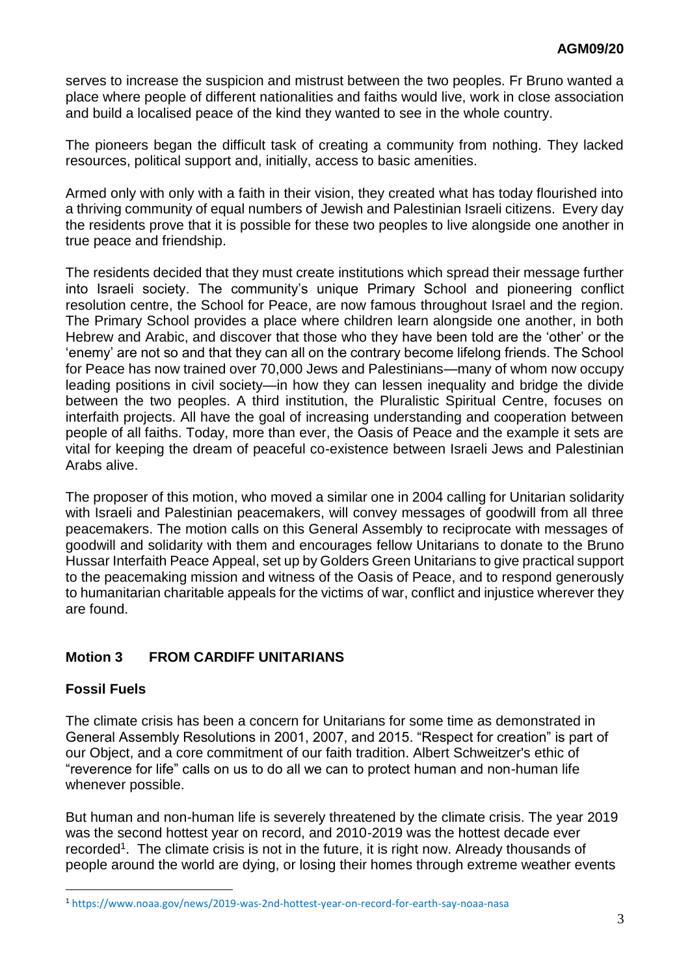serves to increase the suspicion and mistrust between the two peoples. Fr Bruno wanted a place where people of different nationalities and faiths would live, work in close association and build a localised peace of the kind they wanted to see in the whole country.

The pioneers began the difficult task of creating a community from nothing. They lacked resources, political support and, initially, access to basic amenities.

Armed only with only with a faith in their vision, they created what has today flourished into a thriving community of equal numbers of Jewish and Palestinian Israeli citizens. Every day the residents prove that it is possible for these two peoples to live alongside one another in true peace and friendship.

The residents decided that they must create institutions which spread their message further into Israeli society. The community's unique Primary School and pioneering conflict resolution centre, the School for Peace, are now famous throughout Israel and the region. The Primary School provides a place where children learn alongside one another, in both Hebrew and Arabic, and discover that those who they have been told are the 'other' or the 'enemy' are not so and that they can all on the contrary become lifelong friends. The School for Peace has now trained over 70,000 Jews and Palestinians—many of whom now occupy leading positions in civil society—in how they can lessen inequality and bridge the divide between the two peoples. A third institution, the Pluralistic Spiritual Centre, focuses on interfaith projects. All have the goal of increasing understanding and cooperation between people of all faiths. Today, more than ever, the Oasis of Peace and the example it sets are vital for keeping the dream of peaceful co-existence between Israeli Jews and Palestinian Arabs alive.

The proposer of this motion, who moved a similar one in 2004 calling for Unitarian solidarity with Israeli and Palestinian peacemakers, will convey messages of goodwill from all three peacemakers. The motion calls on this General Assembly to reciprocate with messages of goodwill and solidarity with them and encourages fellow Unitarians to donate to the Bruno Hussar Interfaith Peace Appeal, set up by Golders Green Unitarians to give practical support to the peacemaking mission and witness of the Oasis of Peace, and to respond generously to humanitarian charitable appeals for the victims of war, conflict and injustice wherever they are found.

## **Motion 3 FROM CARDIFF UNITARIANS**

## **Fossil Fuels**

1

The climate crisis has been a concern for Unitarians for some time as demonstrated in General Assembly Resolutions in 2001, 2007, and 2015. "Respect for creation" is part of our Object, and a core commitment of our faith tradition. Albert Schweitzer's ethic of "reverence for life" calls on us to do all we can to protect human and non-human life whenever possible.

But human and non-human life is severely threatened by the climate crisis. The year 2019 was the second hottest year on record, and 2010-2019 was the hottest decade ever recorded<sup>1</sup>. The climate crisis is not in the future, it is right now. Already thousands of people around the world are dying, or losing their homes through extreme weather events

<sup>1</sup> <https://www.noaa.gov/news/2019-was-2nd-hottest-year-on-record-for-earth-say-noaa-nasa>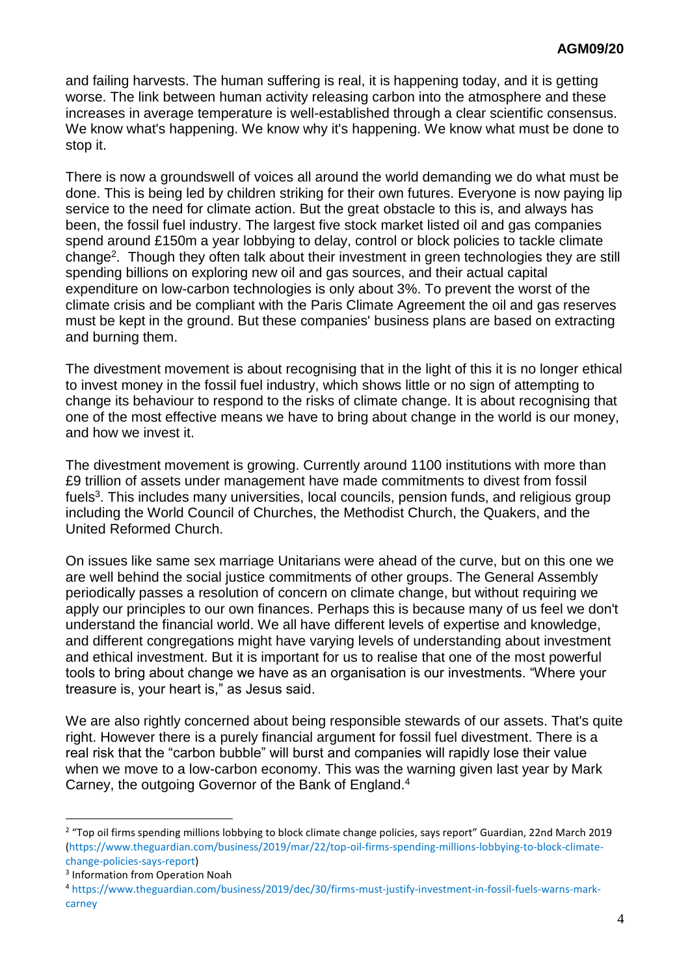and failing harvests. The human suffering is real, it is happening today, and it is getting worse. The link between human activity releasing carbon into the atmosphere and these increases in average temperature is well-established through a clear scientific consensus. We know what's happening. We know why it's happening. We know what must be done to stop it.

There is now a groundswell of voices all around the world demanding we do what must be done. This is being led by children striking for their own futures. Everyone is now paying lip service to the need for climate action. But the great obstacle to this is, and always has been, the fossil fuel industry. The largest five stock market listed oil and gas companies spend around £150m a year lobbying to delay, control or block policies to tackle climate change<sup>2</sup>. Though they often talk about their investment in green technologies they are still spending billions on exploring new oil and gas sources, and their actual capital expenditure on low-carbon technologies is only about 3%. To prevent the worst of the climate crisis and be compliant with the Paris Climate Agreement the oil and gas reserves must be kept in the ground. But these companies' business plans are based on extracting and burning them.

The divestment movement is about recognising that in the light of this it is no longer ethical to invest money in the fossil fuel industry, which shows little or no sign of attempting to change its behaviour to respond to the risks of climate change. It is about recognising that one of the most effective means we have to bring about change in the world is our money, and how we invest it.

The divestment movement is growing. Currently around 1100 institutions with more than £9 trillion of assets under management have made commitments to divest from fossil fuels<sup>3</sup>. This includes many universities, local councils, pension funds, and religious group including the World Council of Churches, the Methodist Church, the Quakers, and the United Reformed Church.

On issues like same sex marriage Unitarians were ahead of the curve, but on this one we are well behind the social justice commitments of other groups. The General Assembly periodically passes a resolution of concern on climate change, but without requiring we apply our principles to our own finances. Perhaps this is because many of us feel we don't understand the financial world. We all have different levels of expertise and knowledge, and different congregations might have varying levels of understanding about investment and ethical investment. But it is important for us to realise that one of the most powerful tools to bring about change we have as an organisation is our investments. "Where your treasure is, your heart is," as Jesus said.

We are also rightly concerned about being responsible stewards of our assets. That's quite right. However there is a purely financial argument for fossil fuel divestment. There is a real risk that the "carbon bubble" will burst and companies will rapidly lose their value when we move to a low-carbon economy. This was the warning given last year by Mark Carney, the outgoing Governor of the Bank of England.<sup>4</sup>

1

<sup>&</sup>lt;sup>2</sup> "Top oil firms spending millions lobbying to block climate change policies, says report" Guardian, 22nd March 2019 [\(https://www.theguardian.com/business/2019/mar/22/top-oil-firms-spending-millions-lobbying-to-block-climate](https://www.theguardian.com/business/2019/mar/22/top-oil-firms-spending-millions-lobbying-to-block-climate-change-policies-says-report)[change-policies-says-report\)](https://www.theguardian.com/business/2019/mar/22/top-oil-firms-spending-millions-lobbying-to-block-climate-change-policies-says-report)

<sup>3</sup> Information from Operation Noah

<sup>4</sup> [https://www.theguardian.com/business/2019/dec/30/firms-must-justify-investment-in-fossil-fuels-warns-mark](https://www.theguardian.com/business/2019/dec/30/firms-must-justify-investment-in-fossil-fuels-warns-mark-carney)[carney](https://www.theguardian.com/business/2019/dec/30/firms-must-justify-investment-in-fossil-fuels-warns-mark-carney)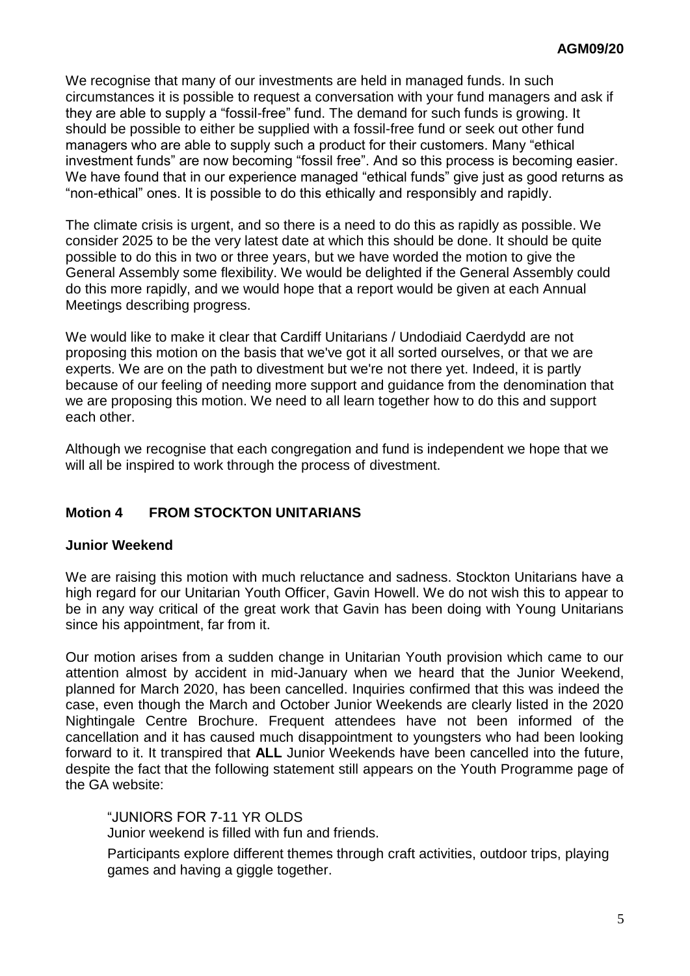We recognise that many of our investments are held in managed funds. In such circumstances it is possible to request a conversation with your fund managers and ask if they are able to supply a "fossil-free" fund. The demand for such funds is growing. It should be possible to either be supplied with a fossil-free fund or seek out other fund managers who are able to supply such a product for their customers. Many "ethical investment funds" are now becoming "fossil free". And so this process is becoming easier. We have found that in our experience managed "ethical funds" give just as good returns as "non-ethical" ones. It is possible to do this ethically and responsibly and rapidly.

The climate crisis is urgent, and so there is a need to do this as rapidly as possible. We consider 2025 to be the very latest date at which this should be done. It should be quite possible to do this in two or three years, but we have worded the motion to give the General Assembly some flexibility. We would be delighted if the General Assembly could do this more rapidly, and we would hope that a report would be given at each Annual Meetings describing progress.

We would like to make it clear that Cardiff Unitarians / Undodiaid Caerdydd are not proposing this motion on the basis that we've got it all sorted ourselves, or that we are experts. We are on the path to divestment but we're not there yet. Indeed, it is partly because of our feeling of needing more support and guidance from the denomination that we are proposing this motion. We need to all learn together how to do this and support each other.

Although we recognise that each congregation and fund is independent we hope that we will all be inspired to work through the process of divestment.

# **Motion 4 FROM STOCKTON UNITARIANS**

#### **Junior Weekend**

We are raising this motion with much reluctance and sadness. Stockton Unitarians have a high regard for our Unitarian Youth Officer, Gavin Howell. We do not wish this to appear to be in any way critical of the great work that Gavin has been doing with Young Unitarians since his appointment, far from it.

Our motion arises from a sudden change in Unitarian Youth provision which came to our attention almost by accident in mid-January when we heard that the Junior Weekend, planned for March 2020, has been cancelled. Inquiries confirmed that this was indeed the case, even though the March and October Junior Weekends are clearly listed in the 2020 Nightingale Centre Brochure. Frequent attendees have not been informed of the cancellation and it has caused much disappointment to youngsters who had been looking forward to it. It transpired that **ALL** Junior Weekends have been cancelled into the future, despite the fact that the following statement still appears on the Youth Programme page of the GA website:

"JUNIORS FOR 7-11 YR OLDS Junior weekend is filled with fun and friends.

Participants explore different themes through craft activities, outdoor trips, playing games and having a giggle together.